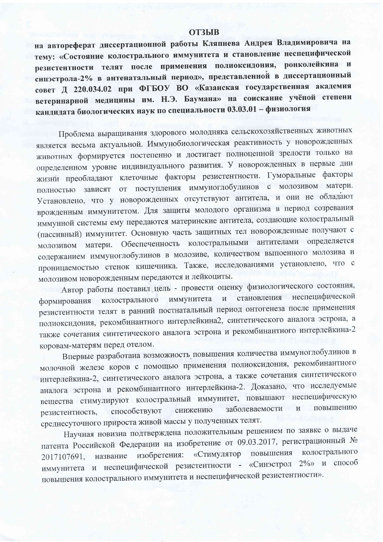## **ОТЗЫВ**

на автореферат диссертационной работы Кляпнева Андрея Владимировича на тему: «Состояние колострального иммунитета и становление неспецифической резистентности телят после применения полиоксидония, ронколейкина и синэстрола-2% в антенатальный период», представленной в диссертационный совет Д 220.034.02 при ФГБОУ ВО «Казанская государственная академия ветеринарной медицины им. Н.Э. Баумана» на соискание учёной степени кандидата биологических наук по специальности 03.03.01 - физиология

Проблема выращивания здорового молодняка сельскохозяйственных животных является весьма актуальной. Иммунобиологическая реактивность у новорожденных животных формируется постепенно и достигает полноценной зрелости только на определенном уровне индивидуального развития. У новорожденных в первые дни жизни преобладают клеточные факторы резистентности. Гуморальные факторы полностью зависят от поступления иммуноглобулинов с молозивом матери. Установлено, что у новорожденных отсутствуют антитела, и они не обладают врожденным иммунитетом. Для защиты молодого организма в период созревания иммунной системы ему передаются материнские антитела, создающие колостральный (пассивный) иммунитет. Основную часть защитных тел новорожденные получают с молозивом матери. Обеспеченность колостральными антителами определяется содержанием иммуноглобулинов в молозиве, количеством выпоенного молозива и проницаемостью стенок кишечника. Также, исследованиями установлено, что с молозивом новорожденным передаются и лейкоциты.

Автор работы поставил цель - провести оценку физиологического состояния, становления неспецифической иммунитета  $\mathbf{M}$ формирования колострального резистентности телят в ранний постнатальный период онтогенеза после применения полиоксидония, рекомбинантного интерлейкина2, синтетического аналога эстрона, а также сочетания синтетического аналога эстрона и рекомбинантного интерлейкина-2 коровам-матерям перед отелом.

Впервые разработана возможность повышения количества иммуноглобулинов в молочной железе коров с помощью применения полиоксидония, рекомбинантного интерлейкина-2, синтетического аналога эстрона, а также сочетания синтетического аналога эстрона и рекомбинантного интерлейкина-2. Доказано, что исследуемые вещества стимулируют колостральный иммунитет, повышают неспецифическую заболеваемости  $\overline{\mathbf{M}}$ повышению снижению способствуют резистентность, среднесуточного прироста живой массы у полученных телят.

Научная новизна подтверждена положительным решением по заявке о выдаче патента Российской Федерации на изобретение от 09.03.2017, регистрационный № колострального «Стимулятор повышения название изобретения: 2017107691, иммунитета и неспецифической резистентности - «Синэстрол 2%» и способ повышения колострального иммунитета и неспецифической резистентности».